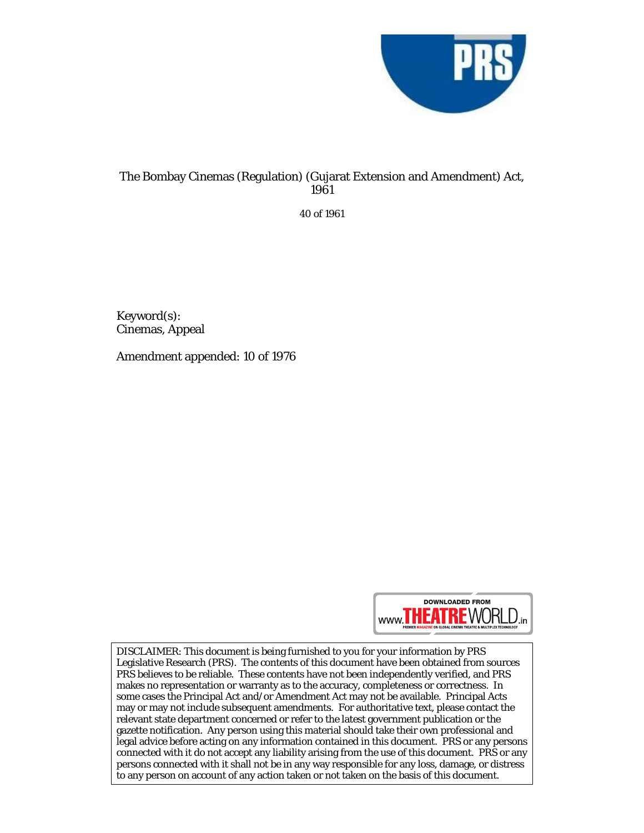

## The Bombay Cinemas (Regulation) (Gujarat Extension and Amendment) Act, 1961

40 of 1961

Keyword(s): Cinemas, Appeal

Amendment appended: 10 of 1976



DISCLAIMER: This document is being furnished to you for your information by PRS Legislative Research (PRS). The contents of this document have been obtained from sources PRS believes to be reliable. These contents have not been independently verified, and PRS makes no representation or warranty as to the accuracy, completeness or correctness. In some cases the Principal Act and/or Amendment Act may not be available. Principal Acts may or may not include subsequent amendments. For authoritative text, please contact the relevant state department concerned or refer to the latest government publication or the gazette notification. Any person using this material should take their own professional and legal advice before acting on any information contained in this document. PRS or any persons connected with it do not accept any liability arising from the use of this document. PRS or any persons connected with it shall not be in any way responsible for any loss, damage, or distress to any person on account of any action taken or not taken on the basis of this document.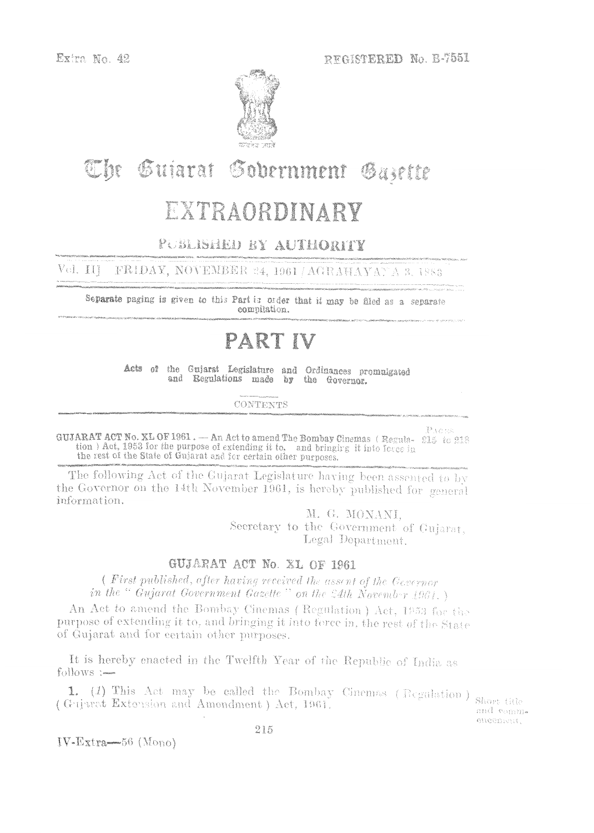

# The Sujarat Sobernment Gazette

## EXTRAORDINARY

### PUBLISHED BY AUTHORITY

Vol. III FRIDAY, NOVEMBER 24, 1961 / AGRAHAYANA 3, 1883

Separate paging is given to this Part in order that it may be filed as a separate compilation.

## PART IV

Acts of the Gujarat Legislature and Ordinances promulgated and Regulations made by the Governor.

**CONTENTS** 

PACES GUJARAT ACT No. XL OF 1961. - An Act to amend The Bombay Cinemas (Regula- 215 to 218 tion) Act, 1953 for the purpose of extending it to, and bringing it into force in the rest of the State of Gujarat and for certain other purposes.

The following Act of the Cujarat Legislature having been assented to by the Governor on the 14th November 1961, is hereby published for general information.

> M. G. MONANI, Secretary to the Government of Gujarat, Legal Department.

#### GUJARAT ACT No. XL OF 1961

(First published, after having received the assent of the Governor in the " Gujarat Government Gazette" on the 54th November 1961.)

An Act to amend the Bombay Cinemas (Regulation) Act, 1953 for the purpose of extending it to, and bringing it into force in, the rest of the State of Gujarat and for certain other purposes.

It is hereby enacted in the Twelfth Year of the Republic of India as follows :-

1. (1) This Act may be called the Bombay Cinemas (Regulation) (Gujaret Extension and Amendment) Act, 1961.

Short title and comm. encoment,

 $IV\text{-}Extra \rightarrow 56$  (Mono)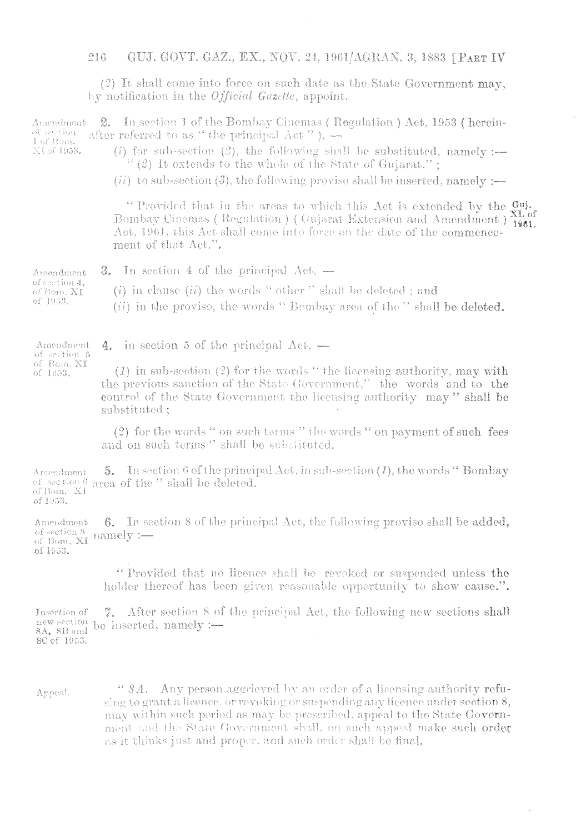$(2)$  It shall come into force on such date as the State Government may, by notification in the *Official Gazette*, appoint.

2. In section 1 of the Bombay Cinemas (Regulation) Act, 1953 (herein-Amendmont of section after referred to as " the principal  $\text{Act}$ "),  $\rightarrow$ 1 of Bon. (i) for sub-section (2), the following shall be substituted, namely :-NI of 1953.

 $\lq\lq$  (2) It extends to the whole of the State of Gujarat.";

 $(ii)$  to sub-section (3), the following provise shall be inserted, namely :—

"Provided that in the areas to which this Act is extended by the Gui-Bombay Cinemas (Regulation) (Gujarat Extension and Amendment) 1801. Act, 1961, this Act shall come into force on the date of the commencement of that Act.".

**3.** In section 4 of the principal  $Act$ ,  $-$ Amendment of section 4,  $(i)$  in clause  $(ii)$  the words "other" shall be deleted; and of Bom, XI of 1953. (ii) in the proviso, the words "Bombay area of the " shall be deleted.

4. in section 5 of the principal  $Act,$   $-$ Amendment of section 5

of Bom. XI

of 1953.

 $(1)$  in sub-section (2) for the words "the licensing authority, may with the previous sanction of the State Government," the words and to the control of the State Government the licensing authority may" shall be substituted:

(2) for the words " on such terms " the words " on payment of such fees and on such terms " shall be substituted.

5. In section 6 of the principal Act, in sub-section  $(I)$ , the words "Bombay" Amendment of section 6 area of the " shall be deleted. of Bom, XI of 1953.

6. In section 8 of the principal Act, the following proviso shall be added, Amendment of Bom, XI namely :of 1953.

> "Provided that no licence shall be revoked or suspended unless the holder thereof has been given reasonable opportunity to show cause.".

> > $\bar{\bar{z}}$

7. After section 8 of the principal Act, the following new sections shall Tusertion of new section be inserted, namely :-8A, 8B and 8C of 1953.

" 8A. Any person aggrieved by an order of a licensing authority refu-Appeal. sing to grant a licence, or revoking or suspending any licence under section 8, may within such period as may be prescribed, appeal to the State Government and the State Government shall, on such appeal make such order as it thinks just and proper, and such order shall be final.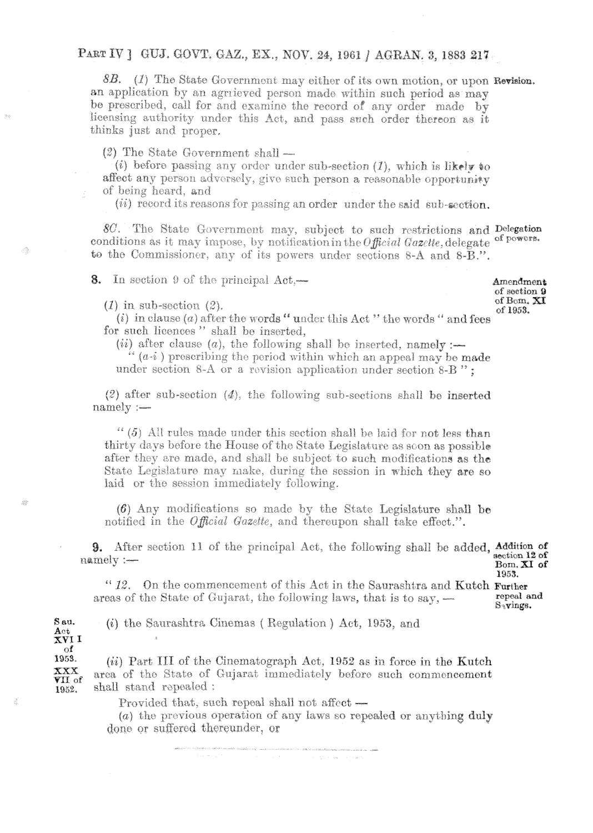8B. (1) The State Government may either of its own motion, or upon Revision. an application by an agricved person made within such period as may be prescribed, call for and examine the record of any order made by licensing authority under this Act, and pass such order thereon as it thinks just and proper.

 $(2)$  The State Government shall —

(i) before passing any order under sub-section  $(I)$ , which is likely to affect any person adversely, give such person a reasonable opportunity of being heard, and

(*ii*) record its reasons for passing an order under the said sub-section.

8C. The State Government may, subject to such restrictions and Delegation of powers. conditions as it may impose, by notification in the  $\theta$  fficial Gazette, delegate to the Commissioner, any of its powers under sections 8-A and 8-B.".

**8.** In section 9 of the principal  $Act$ .

Amendment of section 9 of Bom. XI of 1953.

 $(1)$  in sub-section  $(2)$ .

 $\mathcal{O}_X^{\text{th}}$ 

藤

3

 $\bar{\star}$ 

Sau.

 $A_0t$ XVI I of

(i) in clause (a) after the words "under this Act" the words " and fees for such licences" shall be inserted,

(*ii*) after clause (*a*), the following shall be inserted, namely :-

 $(a-i)$  prescribing the period within which an appeal may be made under section 8-A or a revision application under section 8-B":

 $(2)$  after sub-section  $(4)$ , the following sub-sections shall be inserted  $namely:$ 

 $\lq\lq (5)$  All rules made under this section shall be laid for not less than thirty days before the House of the State Legislature as soon as possible after they are made, and shall be subject to such modifications as the State Legislature may make, during the session in which they are so laid or the session immediately following.

 $(6)$  Any modifications so made by the State Legislature shall be notified in the *Official Gazette*, and thereupon shall take effect.".

**9.** After section 11 of the principal Act, the following shall be added, Addition of  $section 12 of$ namely :-Bom, XI of

1953. "12. On the commencement of this Act in the Saurashtra and Kutch Further repeal and areas of the State of Gujarat, the following laws, that is to say, -S<sub>i</sub>vings.

(i) the Saurashtra Cinemas (Regulation) Act, 1953, and

1953.  $(ii)$  Part III of the Cinematograph Act, 1952 as in force in the Kutch  $\mathbf{XXX}$ area of the State of Gujarat immediately before such commencement VII of shall stand repealed: 1952.

Provided that, such repeal shall not affect -

(a) the previous operation of any laws so repealed or anything duly done or suffered thereunder, or

 $\mathcal{O}(\mathcal{O}_\mathbf{a}^{\mathbb{C}})$  , where  $\mathcal{O}(\mathcal{O}_\mathbf{a}^{\mathbb{C}})$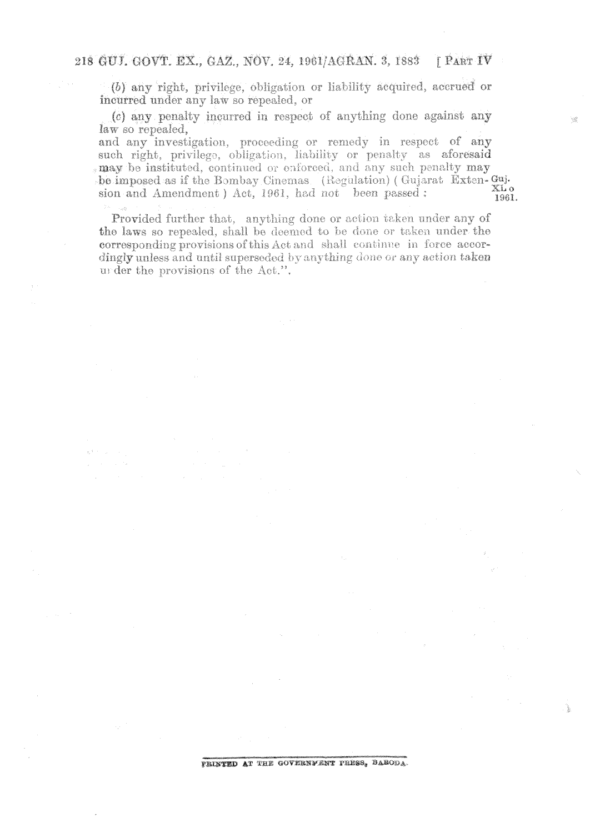(b) any right, privilege, obligation or liability acquired, accrued or incurred under any law so repealed, or

(c) any penalty incurred in respect of anything done against any law so repealed.

and any investigation, proceeding or remedy in respect of any such right, privilege, obligation, liability or penalty as aforesaid may be instituted, continued or enforced, and any such penalty may be imposed as if the Bombay Cinemas (Regulation) (Guiarat Exten-Gui- $X\tilde{L}$  o sion and Amendment ) Act, 1961, had not been passed: 1961.

Provided further that, anything done or action taken under any of the laws so repealed, shall be deemed to be done or taken under the corresponding provisions of this Act and shall continue in force accordingly unless and until superseded by anything done or any action taken under the provisions of the Act.".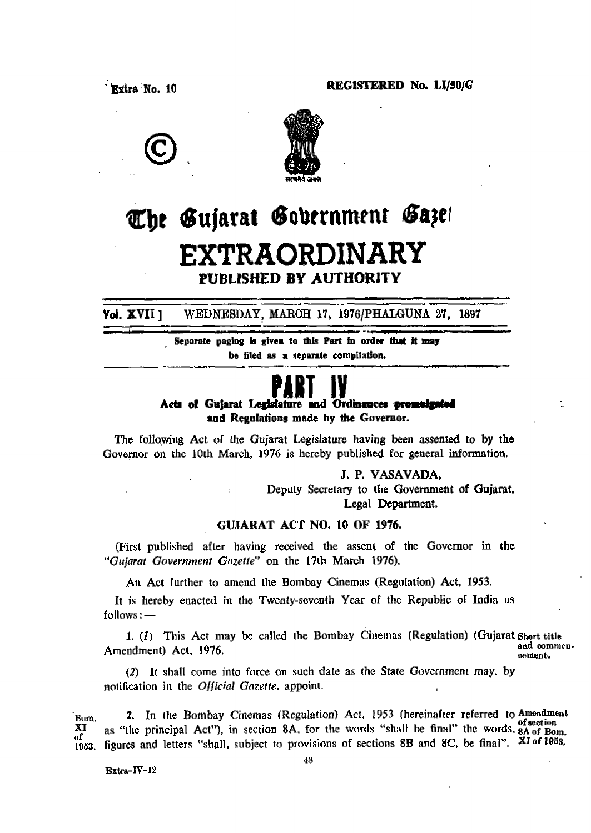**REGISTERED No. 10 REGISTERED No. LI/50/G** 





## The Gujarat Gobernment Gaze! **EXTRAORDINARY PUBLISHED BY AUTHORITY**

- **Vol. XVII 1** WEDNESDAY, MARCH 17, 1976/PHALGUNA 27, 1897

> . **&parate paglrig is given to thtp Part fn order ht ft may be** filed as a separate compitation.

**ABJ IY**<br>Acts of Gujarat Legislature and Ordinances **md Regulations made by the Governor.** 

**The follqwing Act of the Gujarat Legslature having been assented to by the Governor on the loth March, 1976 is hereby published for general information.** 

> **J, P. YASAVADA,**  Deputy **Secretary to the Government of Gujarat, Legal Department.**

#### **GUJARAT ACT NO. 10 OF 1976.**

**(First published after having received the assent of** the **Governor in the "Gtrjarat Government Gazette" on the 17th March 1976).** 

**An Act further to amend the Bombay Cinemas (Regulation) Act, 1953.** 

It is hereby enacted in the Twenty-seventh Year of the Republic of India as  $\text{follows:}$  -

**1.** (*I*) This Act may be called the Bombay Cinemas (Regulation) (Gujarat Short title and commen-Amendment) Act, 1976. **oement.** 

**(2)** It **shall come** into force **on such date as the State Government may. by notification** in **the** *Olficinl* **Gnzeiie, appoint.** 

Eq. **2.** In the Bombay Cinemas (Regulation) Act, 1953 (hereinafter referred to Amendment uf<br>1953. **XI <sup>f</sup>as "the principal Act"), in** section **8A.** for **the words "shall be final" thc words. 8~ m, figures and letters "shall.** subject to provisions of sections 8B and 8C, be final". XI of 1983,